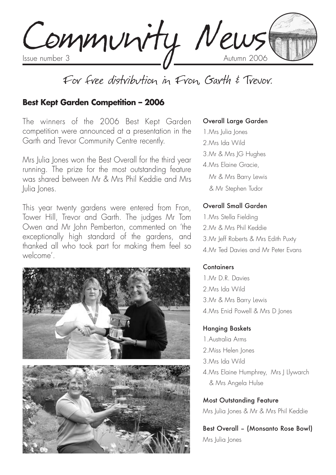Community News

# For free distribution in Fron, Garth & Trevor.

#### **Best Kept Garden Competition – 2006**

The winners of the 2006 Best Kept Garden competition were announced at a presentation in the Garth and Trevor Community Centre recently.

Mrs Julia Jones won the Best Overall for the third year running. The prize for the most outstanding feature was shared between Mr & Mrs Phil Keddie and Mrs Julia Jones.

This year twenty gardens were entered from Fron, Tower Hill, Trevor and Garth. The judges Mr Tom Owen and Mr John Pemberton, commented on 'the exceptionally high standard of the gardens, and thanked all who took part for making them feel so welcome'.



#### Overall Large Garden

- 1.Mrs Julia Jones
- 2.Mrs Ida Wild
- 3.Mr & Mrs JG Hughes
- 4.Mrs Elaine Gracie,
	- Mr & Mrs Barry Lewis
	- & Mr Stephen Tudor

#### Overall Small Garden

1.Mrs Stella Fielding 2.Mr & Mrs Phil Keddie 3.Mr Jeff Roberts & Mrs Edith Puxty 4.Mr Ted Davies and Mr Peter Evans

#### Containers

1. Mr. D.R. Davies 2.Mrs Ida Wild 3.Mr & Mrs Barry Lewis 4.Mrs Enid Powell & Mrs D Jones

#### Hanging Baskets

1.Australia Arms 2.Miss Helen Jones 3.Mrs Ida Wild 4. Mrs Elaine Humphrey, Mrs | Llywarch & Mrs Angela Hulse

Most Outstanding Feature Mrs Julia Jones & Mr & Mrs Phil Keddie

Best Overall – (Monsanto Rose Bowl) Mrs Iulia Iones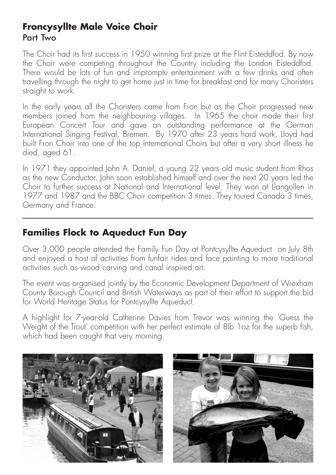## **Froncysyllte Male Voice Choir** Part Two

The Choir had its first success in 1950 winning first prize at the Flint Eisteddfod. By now the Choir were competing throughout the Country including the London Eisteddfod. There would be lots of fun and impromptu entertainment with a few drinks and often travelling through the night to get home just in time for breakfast and for many Choristers straight to work.

In the early years all the Choristers came from Fron but as the Choir progressed new members joined from the neighbouring villages. In 1965 the choir made their first European Concert Tour and gave an outstanding performance at the German International Singing Festival, Bremen. By 1970 after 23 years hard work, Lloyd had built Fron Choir into one of the top International Choirs but after a very short illness he died, aged 61.

In 1971 they appointed John A. Daniel, a young 22 years old music student from Rhos as the new Conductor. John soon established himself and over the next 20 years led the Choir to further success at National and International level. They won at Llangollen in 1977 and 1987 and the BBC Choir competition 3 times. They toured Canada 3 times, Germany and France.

## **Families Flock to Aqueduct Fun Day**

Over 3,000 people attended the Family Fun Day at Pontcysyllte Aqueduct on July 8th and enjoyed a host of activities from funfair rides and face painting to more traditional activities such as wood carving and canal inspired art.

The event was organised jointly by the Economic Development Department of Wrexham County Borough Council and British Waterways as part of their effort to support the bid for World Heritage Status for Pontcysyllte Aqueduct.

A highlight for 7-year-old Catherine Davies from Trevor was winning the 'Guess the Weight of the Trout' competition with her perfect estimate of 8lb 1oz for the superb fish, which had been caught that very morning.



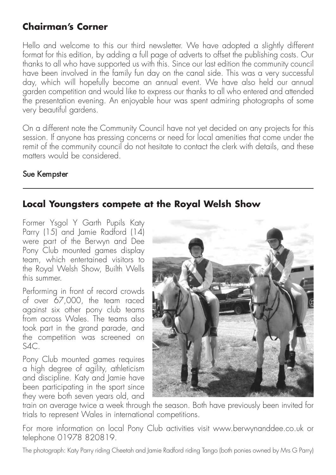# **Chairman's Corner**

Hello and welcome to this our third newsletter. We have adopted a slightly different format for this edition, by adding a full page of adverts to offset the publishing costs. Our thanks to all who have supported us with this. Since our last edition the community council have been involved in the family fun day on the canal side. This was a very successful day, which will hopefully become an annual event. We have also held our annual garden competition and would like to express our thanks to all who entered and attended the presentation evening. An enjoyable hour was spent admiring photographs of some very beautiful gardens.

On a different note the Community Council have not yet decided on any projects for this session. If anyone has pressing concerns or need for local amenities that come under the remit of the community council do not hesitate to contact the clerk with details, and these matters would be considered.

#### Sue Kempster

## **Local Youngsters compete at the Royal Welsh Show**

Former Ysgol Y Garth Pupils Katy Parry (15) and Jamie Radford (14) were part of the Berwyn and Dee Pony Club mounted games display team, which entertained visitors to the Royal Welsh Show, Builth Wells this summer.

Performing in front of record crowds of over 67,000, the team raced against six other pony club teams from across Wales. The teams also took part in the grand parade, and the competition was screened on  $SAC$ 

Pony Club mounted games requires a high degree of agility, athleticism and discipline. Katy and Jamie have been participating in the sport since they were both seven years old, and



train on average twice a week through the season. Both have previously been invited for trials to represent Wales in international competitions.

For more information on local Pony Club activities visit www.berwynanddee.co.uk or telephone 01978 820819.

The photograph: Katy Parry riding Cheetah and Jamie Radford riding Tango (both ponies owned by Mrs G Parry)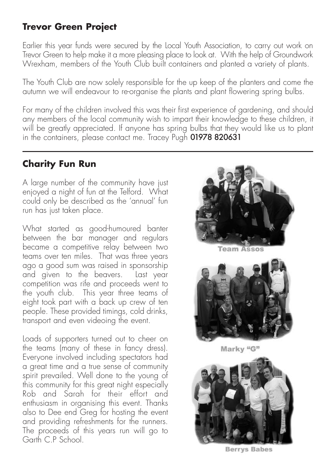## **Trevor Green Project**

Earlier this year funds were secured by the Local Youth Association, to carry out work on Trevor Green to help make it a more pleasing place to look at. With the help of Groundwork Wrexham, members of the Youth Club built containers and planted a variety of plants.

The Youth Club are now solely responsible for the up keep of the planters and come the autumn we will endeavour to re-organise the plants and plant flowering spring bulbs.

For many of the children involved this was their first experience of gardening, and should any members of the local community wish to impart their knowledge to these children, it will be greatly appreciated. If anyone has spring bulbs that they would like us to plant in the containers, please contact me. Tracey Pugh 01978 820631

# **Charity Fun Run**

A large number of the community have just enjoyed a night of fun at the Telford. What could only be described as the 'annual' fun run has just taken place.

What started as good-humoured banter between the bar manager and regulars became a competitive relay between two teams over ten miles. That was three years ago a good sum was raised in sponsorship and given to the beavers. Last year competition was rife and proceeds went to the youth club. This year three teams of eight took part with a back up crew of ten people. These provided timings, cold drinks, transport and even videoing the event.

Loads of supporters turned out to cheer on the teams (many of these in fancy dress). Everyone involved including spectators had a great time and a true sense of community spirit prevailed. Well done to the young of this community for this great night especially Rob and Sarah for their effort and enthusiasm in organising this event. Thanks also to Dee end Greg for hosting the event and providing refreshments for the runners. The proceeds of this years run will go to Garth C.P School.



Team Assos



Marky "G"



**Berrys Babes**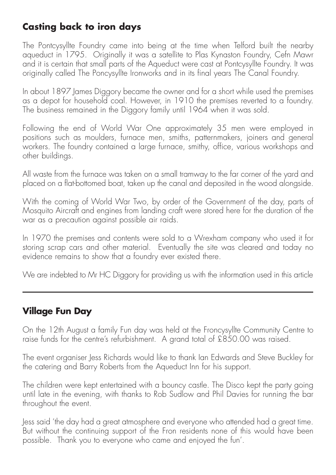# **Casting back to iron days**

The Pontcysyllte Foundry came into being at the time when Telford built the nearby aqueduct in 1795. Originally it was a satellite to Plas Kynaston Foundry, Cefn Mawr and it is certain that small parts of the Aqueduct were cast at Pontcysyllte Foundry. It was originally called The Poncysyllte Ironworks and in its final years The Canal Foundry.

In about 1897 James Diggory became the owner and for a short while used the premises as a depot for household coal. However, in 1910 the premises reverted to a foundry. The business remained in the Diggory family until 1964 when it was sold.

Following the end of World War One approximately 35 men were employed in positions such as moulders, furnace men, smiths, patternmakers, joiners and general workers. The foundry contained a large furnace, smithy, office, various workshops and other buildings.

All waste from the furnace was taken on a small tramway to the far corner of the yard and placed on a flat-bottomed boat, taken up the canal and deposited in the wood alongside.

With the coming of World War Two, by order of the Government of the day, parts of Mosquito Aircraft and engines from landing craft were stored here for the duration of the war as a precaution against possible air raids.

In 1970 the premises and contents were sold to a Wrexham company who used it for storing scrap cars and other material. Eventually the site was cleared and today no evidence remains to show that a foundry ever existed there.

We are indebted to Mr HC Diggory for providing us with the information used in this article

# **Village Fun Day**

On the 12th August a family Fun day was held at the Froncysyllte Community Centre to raise funds for the centre's refurbishment. A grand total of £850.00 was raised.

The event organiser Jess Richards would like to thank Ian Edwards and Steve Buckley for the catering and Barry Roberts from the Aqueduct Inn for his support.

The children were kept entertained with a bouncy castle. The Disco kept the party going until late in the evening, with thanks to Rob Sudlow and Phil Davies for running the bar throughout the event.

Jess said 'the day had a great atmosphere and everyone who attended had a great time. But without the continuing support of the Fron residents none of this would have been possible. Thank you to everyone who came and enjoyed the fun'.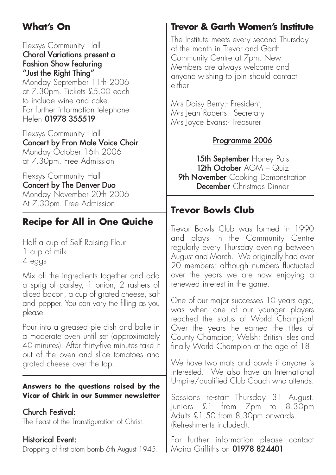# **What's On**

Flexsys Community Hall Choral Variations present a Fashion Show featuring "Just the Right Thing"

Monday September 11th 2006 at 7.30pm. Tickets £5.00 each to include wine and cake. For further information telephone Helen 01978 355519

Flexsys Community Hall Concert by Fron Male Voice Choir Monday October 16th 2006 at 7.30pm. Free Admission

Flexsys Community Hall Concert by The Denver Duo Monday November 20th 2006 At 7.30pm. Free Admission

# **Recipe for All in One Quiche**

Half a cup of Self Raising Flour 1 cup of milk 4 eggs

Mix all the ingredients together and add a sprig of parsley, 1 onion, 2 rashers of diced bacon, a cup of grated cheese, salt and pepper. You can vary the filling as you please.

Pour into a greased pie dish and bake in a moderate oven until set (approximately 40 minutes). After thirty-five minutes take it out of the oven and slice tomatoes and grated cheese over the top.

#### **Answers to the questions raised by the Vicar of Chirk in our Summer newsletter**

Church Festival:

(Refreshments included). For further information please contact Moira Griffiths on 01978 824401 The Feast of the Transfiguration of Christ. Historical Event: Dropping of first atom bomb 6th August 1945.

# **Trevor & Garth Women's Institute**

The Institute meets every second Thursday of the month in Trevor and Garth Community Centre at 7pm. New Members are always welcome and anyone wishing to join should contact either

Mrs Daisy Berry:- President, Mrs Jean Roberts: - Secretary Mrs Joyce Evans:- Treasurer

## Programme 2006

15th September Honey Pots 12th October AGM - Quiz **9th November** Cooking Demonstration December Christmas Dinner

# **Trevor Bowls Club**

Trevor Bowls Club was formed in 1990 and plays in the Community Centre regularly every Thursday evening between August and March. We originally had over 20 members; although numbers fluctuated over the years we are now enjoying a renewed interest in the game.

One of our major successes 10 years ago, was when one of our younger players reached the status of World Champion! Over the years he earned the titles of County Champion; Welsh; British Isles and finally World Champion at the age of 18.

We have two mats and bowls if anyone is interested. We also have an International Umpire/qualified Club Coach who attends.

Sessions re-start Thursday 31 August. Juniors £1 from 7pm to 8.30pm Adults £1.50 from 8.30pm onwards.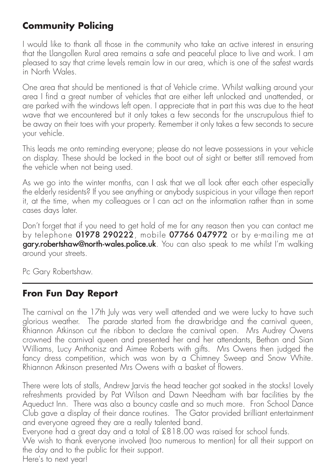# **Community Policing**

I would like to thank all those in the community who take an active interest in ensuring that the Llangollen Rural area remains a safe and peaceful place to live and work. I am pleased to say that crime levels remain low in our area, which is one of the safest wards in North Wales.

One area that should be mentioned is that of Vehicle crime. Whilst walking around your area I find a great number of vehicles that are either left unlocked and unattended, or are parked with the windows left open. I appreciate that in part this was due to the heat wave that we encountered but it only takes a few seconds for the unscrupulous thief to be away on their toes with your property. Remember it only takes a few seconds to secure your vehicle.

This leads me onto reminding everyone; please do not leave possessions in your vehicle on display. These should be locked in the boot out of sight or better still removed from the vehicle when not being used.

As we go into the winter months, can I ask that we all look after each other especially the elderly residents? If you see anything or anybody suspicious in your village then report it, at the time, when my colleagues or I can act on the information rather than in some cases days later.

Don't forget that if you need to get hold of me for any reason then you can contact me by telephone  $01978290222$ , mobile  $07766047972$  or by e-mailing me at gary.robertshaw@north-wales.police.uk. You can also speak to me whilst I'm walking around your streets.

Pc Gary Robertshaw.

# **Fron Fun Day Report**

The carnival on the 17th July was very well attended and we were lucky to have such glorious weather. The parade started from the drawbridge and the carnival queen, Rhiannon Atkinson cut the ribbon to declare the carnival open. Mrs Audrey Owens crowned the carnival queen and presented her and her attendants, Bethan and Sian Williams, Lucy Anthonisz and Aimee Roberts with gifts. Mrs Owens then judged the fancy dress competition, which was won by a Chimney Sweep and Snow White. Rhiannon Atkinson presented Mrs Owens with a basket of flowers.

There were lots of stalls, Andrew Jarvis the head teacher got soaked in the stocks! Lovely refreshments provided by Pat Wilson and Dawn Needham with bar facilities by the Aqueduct Inn. There was also a bouncy castle and so much more. Fron School Dance Club gave a display of their dance routines. The Gator provided brilliant entertainment and everyone agreed they are a really talented band.

Everyone had a great day and a total of £818.00 was raised for school funds.

We wish to thank everyone involved (too numerous to mention) for all their support on the day and to the public for their support.

Here's to next year!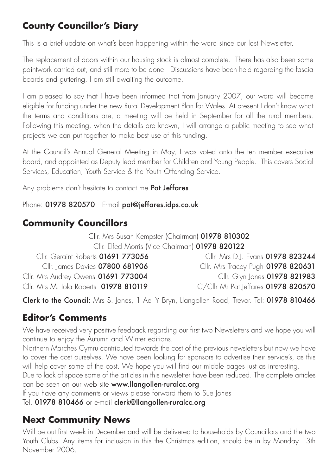# **County Councillor's Diary**

This is a brief update on what's been happening within the ward since our last Newsletter.

The replacement of doors within our housing stock is almost complete. There has also been some paintwork carried out, and still more to be done. Discussions have been held regarding the fascia boards and guttering, I am still awaiting the outcome.

I am pleased to say that I have been informed that from January 2007, our ward will become eligible for funding under the new Rural Development Plan for Wales. At present I don't know what the terms and conditions are, a meeting will be held in September for all the rural members. Following this meeting, when the details are known, I will arrange a public meeting to see what projects we can put together to make best use of this funding.

At the Council's Annual General Meeting in May, I was voted onto the ten member executive board, and appointed as Deputy lead member for Children and Young People. This covers Social Services, Education, Youth Service & the Youth Offending Service.

Any problems don't hesitate to contact me Pat Jeffares

Phone: 01978 820570 E-mail pat@jeffares.idps.co.uk

# **Community Councillors**

Cllr. Mrs Susan Kempster (Chairman) 01978 810302 Cllr. Elfed Morris (Vice Chairman) 01978 820122

| Cllr. Geraint Roberts 01691 773056     | Cllr. Mrs D.J. Evans 01978 823244   |
|----------------------------------------|-------------------------------------|
| Cllr. James Davies 07800 681906        | Cllr. Mrs Tracey Pugh 01978 820631  |
| Cllr. Mrs Audrey Owens 01691 773004    | Cllr. Glyn Jones 01978 821983       |
| Cllr. Mrs M. Iola Roberts 01978 810119 | C/Cllr Mr Pat leffares 01978 820570 |

Clerk to the Council: Mrs S. Jones, 1 Ael Y Bryn, Llangollen Road, Trevor, Tel: 01978 810466

# **Editor's Comments**

We have received very positive feedback regarding our first two Newsletters and we hope you will continue to enjoy the Autumn and Winter editions.

Northern Marches Cymru contributed towards the cost of the previous newsletters but now we have to cover the cost ourselves. We have been looking for sponsors to advertise their service's, as this will help cover some of the cost. We hope you will find our middle pages just as interesting.

Due to lack of space some of the articles in this newsletter have been reduced. The complete articles can be seen on our web site www.llangollen-ruralcc.org

If you have any comments or views please forward them to Sue Jones

Tel. 01978 810466 or e-mail clerk@llangollen-ruralcc.org

# **Next Community News**

Will be out first week in December and will be delivered to households by Councillors and the two Youth Clubs. Any items for inclusion in this the Christmas edition, should be in by Monday 13th November 2006.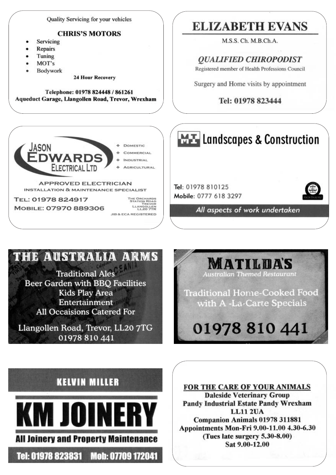Quality Servicing for your vehicles

#### **CHRIS'S MOTORS**

- Servicing
- Repairs
- Tuning
- MOT's
- Bodywork

**24 Hour Recovery** 

Telephone: 01978 824448 / 861261 Aqueduct Garage, Llangollen Road, Trevor, Wrexham



TEL: 01978 824917 MOBILE: 07970 889306

THE ORCHARDS<br>STATION ROAD LLANGOLLEN **JIB & ECA REGISTERED** 

# **ELIZABETH EVANS**

M.S.S. Ch. M.B.Ch.A.

**OUALIFIED CHIROPODIST** 

Registered member of Health Professions Council

Surgery and Home visits by appointment

#### Tel: 01978 823444



# THE AUSTRALIA ARMS

**Traditional Ales Beer Garden with BBO Facilities Kids Play Area** Entertainment **All Occaisions Catered For** 

Llangollen Road, Trevor, LL20 7TG 01978 810 441

**MATILDA'S** Australian Themed Restau

**Traditional Home-Cooked Food** with A -La-Carte Specials

# 01978 810 441

# **KELVIN MILLER**



Tel: 01978 823831 Mob: 07709 172041

**FOR THE CARE OF YOUR ANIMALS Daleside Veterinary Group Pandy Industrial Estate Pandy Wrexham LL11 2UA** Companion Animals 01978 311881 Appointments Mon-Fri 9.00-11.00 4.30-6.30 (Tues late surgery 5.30-8.00) Sat 9.00-12.00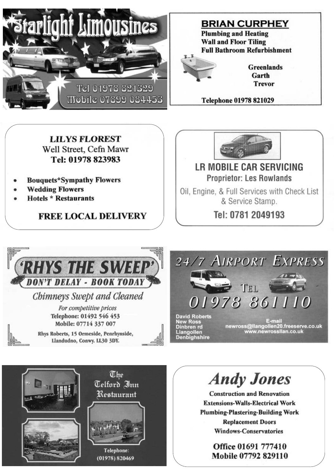

**BRIAN CURPHEY** 

**Plumbing and Heating Wall and Floor Tiling Full Bathroom Refurbishment** 



**Greenlands** Garth **Trevor** 

Telephone 01978 821029

## **LILVS FLOREST** Well Street, Cefn Mawr Tel: 01978 823983

- **Bouquets\*Sympathy Flowers**
- **Wedding Flowers**
- **Hotels \* Restaurants**

**FREE LOCAL DELIVERY** 



## **LR MOBILE CAR SERVICING Proprietor: Les Rowlands**

Oil, Engine, & Full Services with Check List & Service Stamp.

Tel: 0781 2049193



Telephone:

(01978) 820469

Office 01691 777410 Mobile 07792 829110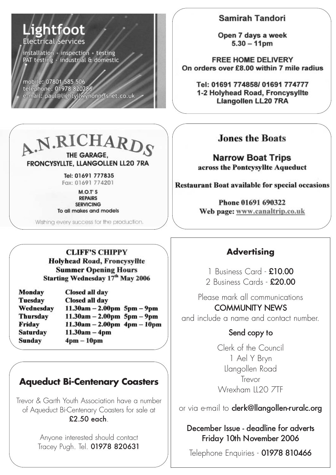# Lightfoot Electrical Services

installation inspection testing PAT testing industrial & domestic

mobile: 07801 585 506 telephone: 01978 820286<br>e-mail: paul@lightyllwynonn.fsnet.co.uk

#### Samirah Tandori

Open 7 days a week  $5.30 - 11$ pm

**FREE HOME DELIVERY** On orders over £8.00 within 7 mile radius

Tel: 01691 774858/ 01691 774777 1-2 Holyhead Road, Froncysyllte **Llangollen LL20 7RA** 

# A.N.RICHARDS THE GARAGE. FRONCYSYLLTE, LLANGOLLEN LL20 7RA

Tel: 01691 777835 Fax: 01691 774201

 $M.O.T'S$ **REPAIRS SERVICING** To all makes and models

Wishing every success for the production.

### **Jones the Boats**

**Narrow Boat Trips** across the Pontcysyllte Aqueduct

**Restaurant Boat available for special occasions** 

Phone 01691 690322 Web page: www.canaltrip.co.uk

**CLIFF'S CHIPPY Holyhead Road, Froncysvilte Summer Opening Hours** Starting Wednesday 17th May 2006

| <b>Monday</b>   | Closed all day                 |
|-----------------|--------------------------------|
| Tuesday         | Closed all day                 |
| Wednesday       | $11.30am - 2.00pm 5pm - 9pm$   |
| <b>Thursday</b> | $11.30am - 2.00pm 5pm - 9pm$   |
| Friday          | $11.30am - 2.00pm$ 4pm $-10pm$ |
| <b>Saturday</b> | $11.30am - 4pm$                |
| Sunday          | $4pm - 10pm$                   |

# **Aqueduct Bi-Centenary Coasters**

Trevor & Garth Youth Association have a number of Aqueduct Bi-Centenary Coasters for sale at £2.50 each.

> Anyone interested should contact Tracey Pugh. Tel. 01978 820631

## **Advertising**

1 Business Card - £10.00 2 Business Cards - £20.00

Please mark all communications COMMUNITY NEWS and include a name and contact number.

## Send copy to

Clerk of the Council 1 Ael Y Bryn Llangollen Road Trevor Wrexham II20 7TF

or via e-mail to **clerk@llangollen-ruralc.org** 

December Issue - deadline for adverts Friday 10th November 2006

Telephone Enquiries - 01978 810466